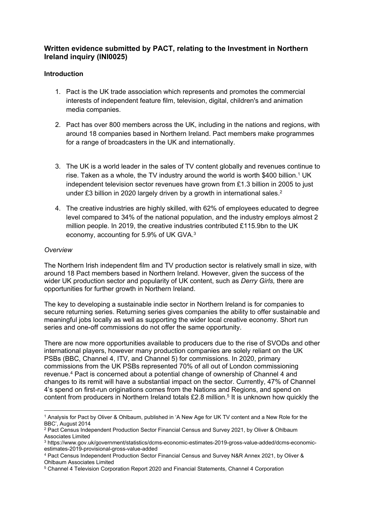# **Written evidence submitted by PACT, relating to the Investment in Northern Ireland inquiry (INI0025)**

### **Introduction**

- 1. Pact is the UK trade association which represents and promotes the commercial interests of independent feature film, television, digital, children's and animation media companies.
- 2. Pact has over 800 members across the UK, including in the nations and regions, with around 18 companies based in Northern Ireland. Pact members make programmes for a range of broadcasters in the UK and internationally.
- 3. The UK is a world leader in the sales of TV content globally and revenues continue to rise. Taken as a whole, the TV industry around the world is worth \$400 billion.<sup>1</sup> UK independent television sector revenues have grown from £1.3 billion in 2005 to just under £3 billion in 2020 largely driven by a growth in international sales.<sup>2</sup>
- 4. The creative industries are highly skilled, with 62% of employees educated to degree level compared to 34% of the national population, and the industry employs almost 2 million people. In 2019, the creative industries contributed £115.9bn to the UK economy, accounting for 5.9% of UK GVA.<sup>3</sup>

#### *Overview*

The Northern Irish independent film and TV production sector is relatively small in size, with around 18 Pact members based in Northern Ireland. However, given the success of the wider UK production sector and popularity of UK content, such as *Derry Girls,* there are opportunities for further growth in Northern Ireland.

The key to developing a sustainable indie sector in Northern Ireland is for companies to secure returning series. Returning series gives companies the ability to offer sustainable and meaningful jobs locally as well as supporting the wider local creative economy. Short run series and one-off commissions do not offer the same opportunity.

There are now more opportunities available to producers due to the rise of SVODs and other international players, however many production companies are solely reliant on the UK PSBs (BBC, Channel 4, ITV, and Channel 5) for commissions. In 2020, primary commissions from the UK PSBs represented 70% of all out of London commissioning revenue.<sup>4</sup> Pact is concerned about a potential change of ownership of Channel 4 and changes to its remit will have a substantial impact on the sector. Currently, 47% of Channel 4's spend on first-run originations comes from the Nations and Regions, and spend on content from producers in Northern Ireland totals  $£2.8$  million.<sup>5</sup> It is unknown how quickly the

<sup>1</sup> Analysis for Pact by Oliver & Ohlbaum, published in 'A New Age for UK TV content and a New Role for the BBC', August 2014

<sup>2</sup> Pact Census Independent Production Sector Financial Census and Survey 2021, by Oliver & Ohlbaum Associates Limited

<sup>3</sup> https://www.gov.uk/government/statistics/dcms-economic-estimates-2019-gross-value-added/dcms-economicestimates-2019-provisional-gross-value-added

<sup>4</sup> Pact Census Independent Production Sector Financial Census and Survey N&R Annex 2021, by Oliver & Ohlbaum Associates Limited

<sup>5</sup> Channel 4 Television Corporation Report 2020 and Financial Statements, Channel 4 Corporation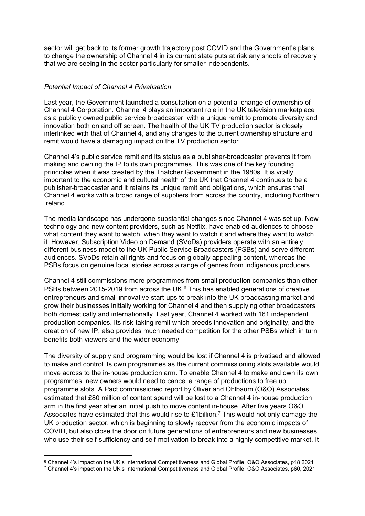sector will get back to its former growth trajectory post COVID and the Government's plans to change the ownership of Channel 4 in its current state puts at risk any shoots of recovery that we are seeing in the sector particularly for smaller independents.

#### *Potential Impact of Channel 4 Privatisation*

Last year, the Government launched a consultation on a potential change of ownership of Channel 4 Corporation. Channel 4 plays an important role in the UK television marketplace as a publicly owned public service broadcaster, with a unique remit to promote diversity and innovation both on and off screen. The health of the UK TV production sector is closely interlinked with that of Channel 4, and any changes to the current ownership structure and remit would have a damaging impact on the TV production sector.

Channel 4's public service remit and its status as a publisher-broadcaster prevents it from making and owning the IP to its own programmes. This was one of the key founding principles when it was created by the Thatcher Government in the 1980s. It is vitally important to the economic and cultural health of the UK that Channel 4 continues to be a publisher-broadcaster and it retains its unique remit and obligations, which ensures that Channel 4 works with a broad range of suppliers from across the country, including Northern Ireland.

The media landscape has undergone substantial changes since Channel 4 was set up. New technology and new content providers, such as Netflix, have enabled audiences to choose what content they want to watch, when they want to watch it and where they want to watch it. However, Subscription Video on Demand (SVoDs) providers operate with an entirely different business model to the UK Public Service Broadcasters (PSBs) and serve different audiences. SVoDs retain all rights and focus on globally appealing content, whereas the PSBs focus on genuine local stories across a range of genres from indigenous producers.

Channel 4 still commissions more programmes from small production companies than other PSBs between 2015-2019 from across the UK.<sup>6</sup> This has enabled generations of creative entrepreneurs and small innovative start-ups to break into the UK broadcasting market and grow their businesses initially working for Channel 4 and then supplying other broadcasters both domestically and internationally. Last year, Channel 4 worked with 161 independent production companies. Its risk-taking remit which breeds innovation and originality, and the creation of new IP, also provides much needed competition for the other PSBs which in turn benefits both viewers and the wider economy.

The diversity of supply and programming would be lost if Channel 4 is privatised and allowed to make and control its own programmes as the current commissioning slots available would move across to the in-house production arm. To enable Channel 4 to make and own its own programmes, new owners would need to cancel a range of productions to free up programme slots. A Pact commissioned report by Oliver and Ohlbaum (O&O) Associates estimated that £80 million of content spend will be lost to a Channel 4 in-house production arm in the first year after an initial push to move content in-house. After five years O&O Associates have estimated that this would rise to £1billion.<sup>7</sup> This would not only damage the UK production sector, which is beginning to slowly recover from the economic impacts of COVID, but also close the door on future generations of entrepreneurs and new businesses who use their self-sufficiency and self-motivation to break into a highly competitive market. It

<sup>6</sup> Channel 4's impact on the UK's International Competitiveness and Global Profile, O&O Associates, p18 2021

<sup>7</sup> Channel 4's impact on the UK's International Competitiveness and Global Profile, O&O Associates, p60, 2021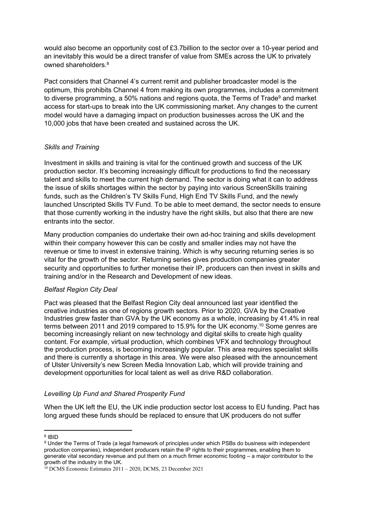would also become an opportunity cost of £3.7billion to the sector over a 10-year period and an inevitably this would be a direct transfer of value from SMEs across the UK to privately owned shareholders.<sup>8</sup>

Pact considers that Channel 4's current remit and publisher broadcaster model is the optimum, this prohibits Channel 4 from making its own programmes, includes a commitment to diverse programming, a 50% nations and regions quota, the Terms of Trade<sup>9</sup> and market access for start-ups to break into the UK commissioning market. Any changes to the current model would have a damaging impact on production businesses across the UK and the 10,000 jobs that have been created and sustained across the UK.

### *Skills and Training*

Investment in skills and training is vital for the continued growth and success of the UK production sector. It's becoming increasingly difficult for productions to find the necessary talent and skills to meet the current high demand. The sector is doing what it can to address the issue of skills shortages within the sector by paying into various ScreenSkills training funds, such as the Children's TV Skills Fund, High End TV Skills Fund, and the newly launched Unscripted Skills TV Fund. To be able to meet demand, the sector needs to ensure that those currently working in the industry have the right skills, but also that there are new entrants into the sector.

Many production companies do undertake their own ad-hoc training and skills development within their company however this can be costly and smaller indies may not have the revenue or time to invest in extensive training. Which is why securing returning series is so vital for the growth of the sector. Returning series gives production companies greater security and opportunities to further monetise their IP, producers can then invest in skills and training and/or in the Research and Development of new ideas.

## *Belfast Region City Deal*

Pact was pleased that the Belfast Region City deal announced last year identified the creative industries as one of regions growth sectors. Prior to 2020, GVA by the Creative Industries grew faster than GVA by the UK economy as a whole, increasing by 41.4% in real terms between 2011 and 2019 compared to 15.9% for the UK economy.<sup>10</sup> Some genres are becoming increasingly reliant on new technology and digital skills to create high quality content. For example, virtual production, which combines VFX and technology throughout the production process, is becoming increasingly popular. This area requires specialist skills and there is currently a shortage in this area. We were also pleased with the announcement of Ulster University's new Screen Media Innovation Lab, which will provide training and development opportunities for local talent as well as drive R&D collaboration.

## *Levelling Up Fund and Shared Prosperity Fund*

When the UK left the EU, the UK indie production sector lost access to EU funding. Pact has long argued these funds should be replaced to ensure that UK producers do not suffer

<sup>8</sup> IBID

<sup>9</sup> Under the Terms of Trade (a legal framework of principles under which PSBs do business with independent production companies), independent producers retain the IP rights to their programmes, enabling them to generate vital secondary revenue and put them on a much firmer economic footing – a major contributor to the growth of the industry in the UK.

<sup>10</sup> DCMS Economic Estimates 2011 – 2020, DCMS, 23 December 2021